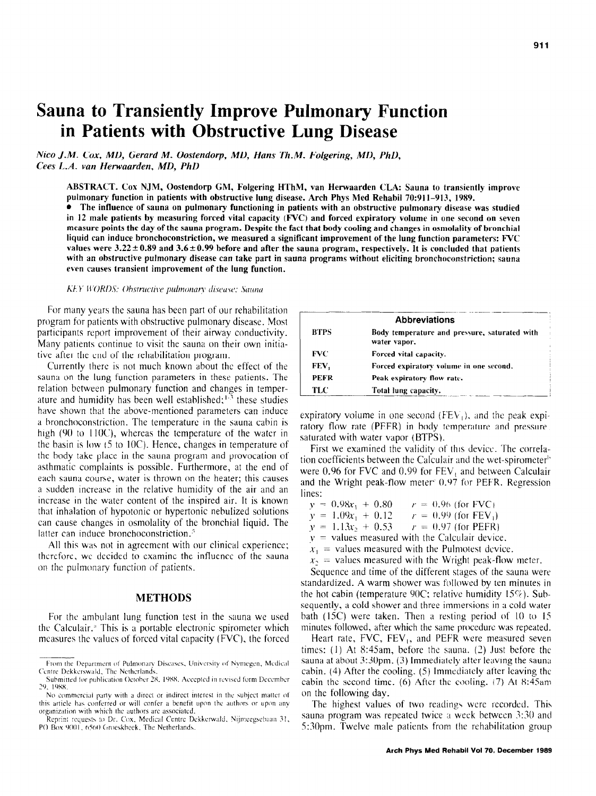# **Sauna to Transiently Improve Pulmonary Function in Patients with Obstructive Lung Disease**

*Nice J.M. Cox, MD, Gerard M. Oostendorp. MD, Hans Th.M. Folgering, MD, PhD, Cees LA. van Herwaarden. MD, PhD* 

**ABSTRACT. Cox NJM, Oostendorp GM, Folgering HThM, van Herwaarden CLA: Sauna to transiently improve**  pulmonary function in patients with obstructive lung disease. Arch Phys Med Rehabil 70:911-913, 1989.

<sup>l</sup>**The influence of sauna on pulmonary functioning in patients with an obstructive pulmonary disease was studied in 12 male patients by measuring forced vital capacity (FVC) and forced expiratory volume in one second on seven measure points the day of the sauna program. Despite the fact that body cooling and changes in osmolality of bronchial liquid can induce bronchoconstriction, we measured a significant improvement of the lung function parameters: WC**  values were  $3.22 \pm 0.89$  and  $3.6 \pm 0.99$  before and after the sauna program, respectively. It is concluded that patients with an obstructive pulmonary disease can take part in **sauna programs without eliciting bronchoconstriction; sauna**  even causes transient improvement of the lung function.

## KEY WORDS: Obstructive pulmonary disease; Sauna

For many years the sauna has been part of our rehabilitation program for patients with obstructive pulmonary disease. Most participants report improvement of their airway conductivity. Many patients continue to visit the sauna on their own initiative after the end of the rehabilitation program.

Currently there is not much known about the effect of the sauna on the lung function parameters in these patients. The relation between pulmonary function and changes in temperature and humidity has been well established; $\frac{1}{3}$  these studies have shown that the above-mentioned parameters can induce a bronchoconstriction. The temperature in the sauna cabin is high (90 to 110C), whereas the temperature of the water in the basin is low IS to IOC). Hence, changes in temperature of the body take place in the sauna program and provocation of asthmatic complaints is possible. Furthermore, at the end of each sauna course, water is thrown on the heater; this causes a sudden increase in the relative humidity of the air and an increase in the water content of the inspired air. It is known that inhalation of hypotonic or hypertonic nebulized solutions can cause changes in osmolality of the bronchial liquid. The latter can induce bronchoconstriction.<sup>5</sup>

All this was not in agreement with our clinical experience; therefore, we decided to examine the influence of the sauna on the pulmonary function of patients.

# METHODS

For the ambulant lung function test in the sauna we used the Calculair.<sup>3</sup> This is a portable electronic spirometer which measures the values of forced vita1 capacity (FVC), the forced

| <b>BTPS</b> | <b>Abbreviations</b><br>Body temperature and pressure, saturated with<br>water vapor. |
|-------------|---------------------------------------------------------------------------------------|
| FVC         | Forced vital capacity.                                                                |
| FEV,        | Forced expiratory volume in one second.                                               |
| <b>PEFR</b> | Peak expiratory flow rate.                                                            |
| TLC         | Total lung capacity.                                                                  |

expiratory volume in one second  $(FEV_1)$ , and the peak expiratory flow rate (PEFR) in body temperature and pressure. saturated with water vapor (BTPS).

First we examined the validity of this device. The correlation coefficients between the Calculair and the wet-spirometer" were 0.96 for FVC and 0.99 for  $FEV<sub>1</sub>$  and between Calculair and the Wright peak-flow meter' 0.07 for PEFR. Regression lines:

- $y = 0.98x_1 + 0.80$   $r = 0.96$  (for FVC)  $y = 1.09x_1 + 0.12$   $r = 0.99$  (for FEV<sub>1</sub>)
- $v = 1.13x_1 + 0.53$   $r = 0.97$  (for PEFR)
- $y =$  values measured with the Calculair device.
- $x_1$  = values measured with the Pulmotest device.
- $x_2$  = values measured with the Wright peak-flow meter.
- 

Sequence and time of the different stages of the sauna were standardized. A warm shower was followed by ten minutes in the hot cabin (temperature 90C; relative humidity  $15\%$ ). Subsequently, a cold shower and three immersions in a cold water bath (1SC) were taken. Then a resting period of IO to I5 minutes followed, after which the same procedure was repeated.

Heart rate,  $FVC$ ,  $FEV_1$ , and PEFR were measured seven times: (I) At 8:45am, before the sauna. (2) Just before the sauna at about  $3.30 \text{pm}$ . (3) Immediately after leaving the sauna cabin. (4) After the cooling. (5) Immediately after leaving the cabin the second time. (6) After the cooling.  $(7)$  At 8:45am on the following day.

The highest values of two readings were recorded. This sauna program was repeated twice  $\alpha$  week between 3:30 and 53Opm. Twelve male patients from the rehabilitation group

From the Department of Pulmonary Diseases, University of Nymegen, Medical Centre Dekkerswald, The Netherlands.

Submitted for publication October 28, 1988. Accepted in revised form December 29, 1988.

No commercial party with a direct or indirect interest in the subject matter of this article has conferred or will confer a benefit upon the authors or upon any organization with which the authors are associated.

Reprint requests to Dr. Cox, Medical Centre Dekkerwald, Nijmeegsebaan 31, PO Box 9001, 6560 Groeskbeek, The Netherlands.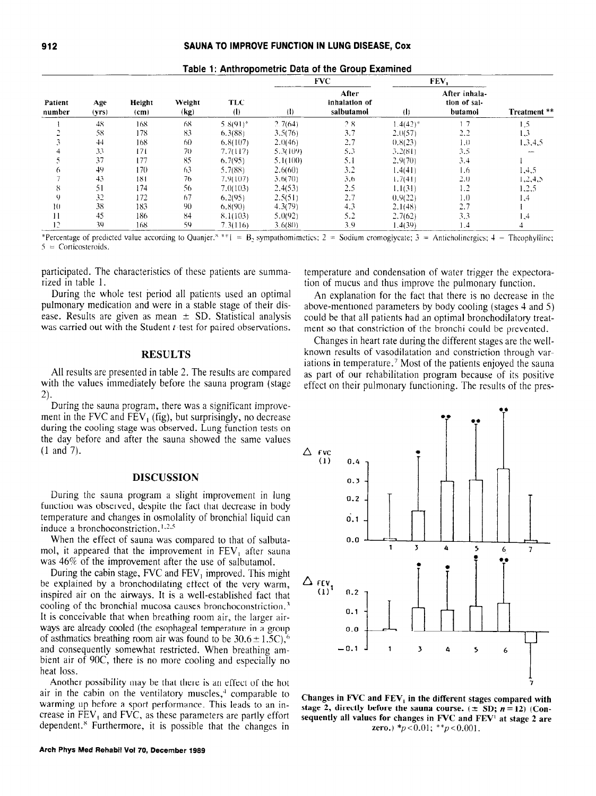| Patient<br>number | Age<br>(vrs) | Height<br>(c <sub>m</sub> ) | Weight<br>(kg) | <b>TLC</b><br>(1) | <b>FVC</b>   |                                      | FEV,          |                                          |              |
|-------------------|--------------|-----------------------------|----------------|-------------------|--------------|--------------------------------------|---------------|------------------------------------------|--------------|
|                   |              |                             |                |                   | $\mathbf{d}$ | After<br>inhalation of<br>salbutamol | (b            | After inhala-<br>tion of sal-<br>butamol | Treatment ** |
|                   | 48           | 168                         | 68             | $5.8(91)^*$       | 2.7(64)      | 2.8                                  | $1.4(42)^{*}$ | 1.7                                      | 1,5          |
|                   | 58           | 178                         | 83             | 6.3(88)           | 3.5(76)      | 3.7                                  | 2.0(57)       | 2,2                                      | 1,3          |
|                   | 44           | 168                         | 60             | 6,8(107)          | 2.0(46)      | 2.7                                  | (0.8(23)      | 1.0                                      | 1,3,4,5      |
|                   | 33           | 171                         | 70             | 7.7(117)          | 5.3(109)     | 5.3                                  | 3.2(81)       | 3.5                                      |              |
|                   | 37           | 177                         | 85             | 6.7(95)           | 5.1(100)     | 5.1                                  | 2.9(70)       | 3.4                                      |              |
| o                 | 49           | 170                         | 63             | 5.7(88)           | 2.6(60)      | 3.2                                  | 1.4(41)       | 1.6                                      | 1,4,5        |
|                   | 43           | 181                         | 76             | 7.9(107)          | 3.6(70)      | 3.6                                  | 1.7(41)       | 2.0                                      | 1, 2, 4, 5   |
| 8                 | 51           | 174                         | 56             | 7.0(103)          | 2.4(53)      | 2.5                                  | 1.1(31)       | 1.2                                      | 1.2.5        |
| 9                 | 32           | 172                         | 67             | 6.2(95)           | 2.5(51)      | 2.7                                  | 0.9(22)       | 1.0                                      | 1.4          |
| 10                | 38           | 183                         | 90             | 6.8(90)           | 4.3(79)      | 4.3                                  | 2.1(48)       | 2.7                                      |              |
| 11                | 45           | 186                         | 84             | 8.1(103)          | 5.0(92)      | 5.2                                  | 2.7(62)       | 3.3                                      | 1,4          |
| 12                | 39           | 168                         | 59             | 7.3(116)          | 3.6680)      | 39                                   | 4(39)         | $\mathbf{1}$                             |              |

|  | Table 1: Anthropometric Data of the Group Examined |
|--|----------------------------------------------------|
|  |                                                    |

\*Percentage of predicted value according to Quanjer.<sup>8</sup> \*\* I = B<sub>2</sub> sympathomimetics; 2 = Sodium cromoglycate; 3 = Anticholinergics; 4 = Theophylline;  $5 =$  Corticosteroids.

participated. The characteristics of these patients are summarized in table 1.

During the whole test period all patients used an optimal pulmonary medication and were in a stable stage of their disease. Results are given as mean  $\pm$  SD. Statistical analysis was carried out with the Student *t*-test for paired observations.

### **RESULTS**

All results are presented in table 2. The results are compared with the values immediately before the sauna program (stage  $2).$ 

During the sauna program, there was a significant improvement in the FVC and  $FEV_1$  (fig), but surprisingly, no decrease during the cooling stage was observed. Lung function tests on the day before and after the sauna showed the same values  $(1$  and  $7)$ .

# **DISCUSSION**

During the sauna program a slight improvement in lung function was observed, despite the fact that decrease in body temperature and changes in osmolality of bronchial liquid can induce a bronchoconstriction.<sup>1,2,5</sup>

When the effect of sauna was compared to that of salbutamol, it appeared that the improvement in FEV<sub>1</sub> after sauna was 46% of the improvement after the use of salbutamol.

During the cabin stage,  $FVC$  and  $FEV_1$  improved. This might be explained by a bronchodilating effect of the very warm, inspired air on the airways. It is a well-established fact that cooling of the bronchial mucosa causes bronchoconstriction.<sup>3</sup> It is conceivable that when breathing room air, the larger airways are already cooled (the esophageal temperature in a group of asthmatics breathing room air was found to be  $30.6 \pm 1.5$ C),<sup>6</sup> and consequently somewhat restricted. When breathing ambient air of 90C, there is no more cooling and especially no heat loss.

Another possibility may be that there is an effect of the hot air in the cabin on the ventilatory muscles,<sup>4</sup> comparable to warming up before a sport performance. This leads to an increase in  $FEV<sub>1</sub>$  and  $FVC$ , as these parameters are partly effort dependent.<sup>8</sup> Furthermore, it is possible that the changes in temperature and condensation of water trigger the expectoration of mucus and thus improve the pulmonary function.

An explanation for the fact that there is no decrease in the above-mentioned parameters by body cooling (stages 4 and 5) could be that all patients had an optimal bronchodilatory treatment so that constriction of the bronchi could be prevented.

Changes in heart rate during the different stages are the wellknown results of vasodilatation and constriction through variations in temperature.<sup>7</sup> Most of the patients enjoyed the sauna as part of our rehabilitation program because of its positive effect on their pulmonary functioning. The results of the pres-



Changes in FVC and FEV<sub>1</sub> in the different stages compared with stage 2, directly before the sauna course.  $(\pm SD; n=12)$  (Consequently all values for changes in FVC and FEV<sup>1</sup> at stage 2 are zero.) \* $p < 0.01$ ; \*\* $p < 0.001$ .